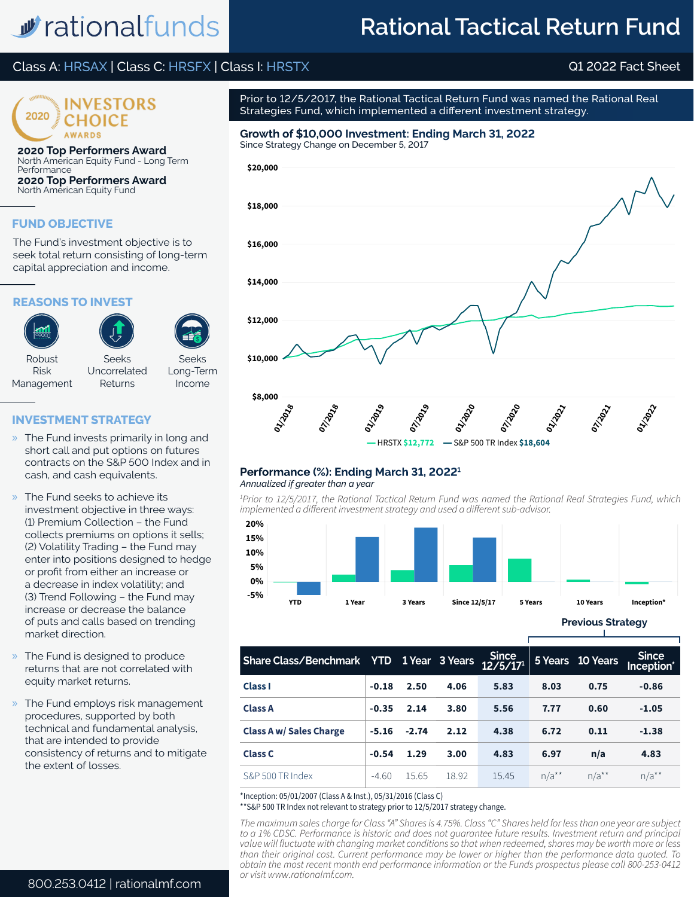# w rationalfunds

## **Rational Tactical Return Fund**

### Class A: HRSAX | Class C: HRSFX | Class I: HRSTX Q1 2022 Fact Sheet



**2020 Top Performers Award** North American Equity Fund - Long Term Performance **2020 Top Performers Award** North American Equity Fund

#### **FUND OBJECTIVE**

The Fund's investment objective is to seek total return consisting of long-term capital appreciation and income.

#### **REASONS TO INVEST**



#### **INVESTMENT STRATEGY**

- » The Fund invests primarily in long and short call and put options on futures contracts on the S&P 500 Index and in cash, and cash equivalents.
- » The Fund seeks to achieve its investment objective in three ways: (1) Premium Collection – the Fund collects premiums on options it sells; (2) Volatility Trading – the Fund may enter into positions designed to hedge or profit from either an increase or a decrease in index volatility; and (3) Trend Following – the Fund may increase or decrease the balance of puts and calls based on trending market direction.
- » The Fund is designed to produce returns that are not correlated with equity market returns.
- » The Fund employs risk management procedures, supported by both technical and fundamental analysis, that are intended to provide consistency of returns and to mitigate the extent of losses.

Prior to 12/5/2017, the Rational Tactical Return Fund was named the Rational Real Strategies Fund, which implemented a different investment strategy.

### **Growth of \$10,000 Investment: Ending March 31, 2022**



#### *Annualized if greater than a year* **Performance (%): Ending March 31, 20221**

*1 Prior to 12/5/2017, the Rational Tactical Return Fund was named the Rational Real Strategies Fund, which implemented a different investment strategy and used a different sub-advisor.*



**Previous Strategy**

| Since<br>Share Class/Benchmark YTD 1Year 3Years 12/5/17 |         |         |       |       |            | 5 Years 10 Years   | Since<br>Inception* |
|---------------------------------------------------------|---------|---------|-------|-------|------------|--------------------|---------------------|
| <b>Class I</b>                                          | $-0.18$ | 2.50    | 4.06  | 5.83  | 8.03       | 0.75               | $-0.86$             |
| <b>Class A</b>                                          | $-0.35$ | 2.14    | 3.80  | 5.56  | 7.77       | 0.60               | $-1.05$             |
| <b>Class A w/ Sales Charge</b>                          | $-5.16$ | $-2.74$ | 2.12  | 4.38  | 6.72       | 0.11               | $-1.38$             |
| <b>Class C</b>                                          | $-0.54$ | 1.29    | 3.00  | 4.83  | 6.97       | n/a                | 4.83                |
| S&P 500 TR Index                                        | $-4.60$ | 15.65   | 18.92 | 15.45 | $n/a^{**}$ | $n/a^{\star\star}$ | $n/a^{**}$          |

\*Inception: 05/01/2007 (Class A & Inst.), 05/31/2016 (Class C)

\*\*S&P 500 TR Index not relevant to strategy prior to 12/5/2017 strategy change.

*The maximum sales charge for Class "A" Shares is 4.75%. Class "C" Shares held for less than one year are subject to a 1% CDSC. Performance is historic and does not guarantee future results. Investment return and principal value will fluctuate with changing market conditions so that when redeemed, shares may be worth more or less than their original cost. Current performance may be lower or higher than the performance data quoted. To obtain the most recent month end performance information or the Funds prospectus please call 800-253-0412 or visit www.rationalmf.com.*